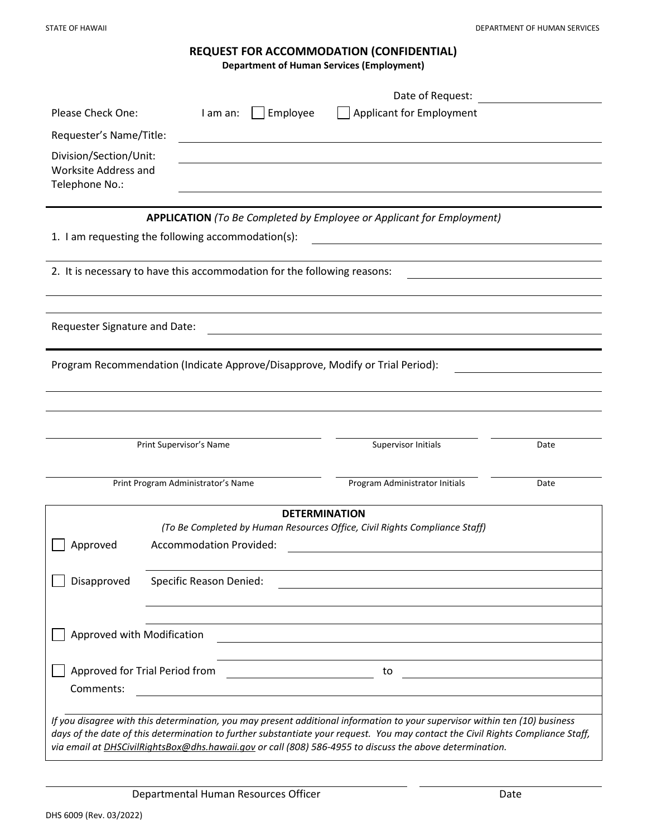# **REQUEST FOR ACCOMMODATION (CONFIDENTIAL)**

**Department of Human Services (Employment)**

|                                                                                                                                                                                                                                                                                                                                                                            |                                                                                                              |          | Date of Request:                |      |
|----------------------------------------------------------------------------------------------------------------------------------------------------------------------------------------------------------------------------------------------------------------------------------------------------------------------------------------------------------------------------|--------------------------------------------------------------------------------------------------------------|----------|---------------------------------|------|
| <b>Please Check One:</b>                                                                                                                                                                                                                                                                                                                                                   | I am an:                                                                                                     | Employee | <b>Applicant for Employment</b> |      |
| Requester's Name/Title:                                                                                                                                                                                                                                                                                                                                                    |                                                                                                              |          |                                 |      |
| Division/Section/Unit:<br>Worksite Address and<br>Telephone No.:                                                                                                                                                                                                                                                                                                           |                                                                                                              |          |                                 |      |
| APPLICATION (To Be Completed by Employee or Applicant for Employment)                                                                                                                                                                                                                                                                                                      |                                                                                                              |          |                                 |      |
| 1. I am requesting the following accommodation(s):                                                                                                                                                                                                                                                                                                                         |                                                                                                              |          |                                 |      |
| 2. It is necessary to have this accommodation for the following reasons:                                                                                                                                                                                                                                                                                                   |                                                                                                              |          |                                 |      |
|                                                                                                                                                                                                                                                                                                                                                                            |                                                                                                              |          |                                 |      |
| Requester Signature and Date:                                                                                                                                                                                                                                                                                                                                              |                                                                                                              |          |                                 |      |
| Program Recommendation (Indicate Approve/Disapprove, Modify or Trial Period):                                                                                                                                                                                                                                                                                              |                                                                                                              |          |                                 |      |
|                                                                                                                                                                                                                                                                                                                                                                            |                                                                                                              |          |                                 |      |
|                                                                                                                                                                                                                                                                                                                                                                            |                                                                                                              |          |                                 |      |
| Print Supervisor's Name                                                                                                                                                                                                                                                                                                                                                    |                                                                                                              |          | Supervisor Initials             | Date |
| Print Program Administrator's Name                                                                                                                                                                                                                                                                                                                                         |                                                                                                              |          | Program Administrator Initials  | Date |
| <b>DETERMINATION</b>                                                                                                                                                                                                                                                                                                                                                       |                                                                                                              |          |                                 |      |
| Approved                                                                                                                                                                                                                                                                                                                                                                   | (To Be Completed by Human Resources Office, Civil Rights Compliance Staff)<br><b>Accommodation Provided:</b> |          |                                 |      |
| Disapproved                                                                                                                                                                                                                                                                                                                                                                | Specific Reason Denied:                                                                                      |          |                                 |      |
| Approved with Modification                                                                                                                                                                                                                                                                                                                                                 |                                                                                                              |          |                                 |      |
| Approved for Trial Period from                                                                                                                                                                                                                                                                                                                                             |                                                                                                              |          | to                              |      |
| Comments:                                                                                                                                                                                                                                                                                                                                                                  |                                                                                                              |          |                                 |      |
| If you disagree with this determination, you may present additional information to your supervisor within ten (10) business<br>days of the date of this determination to further substantiate your request. You may contact the Civil Rights Compliance Staff,<br>via email at DHSCivilRightsBox@dhs.hawaii.gov or call (808) 586-4955 to discuss the above determination. |                                                                                                              |          |                                 |      |

Departmental Human Resources Officer Date Date